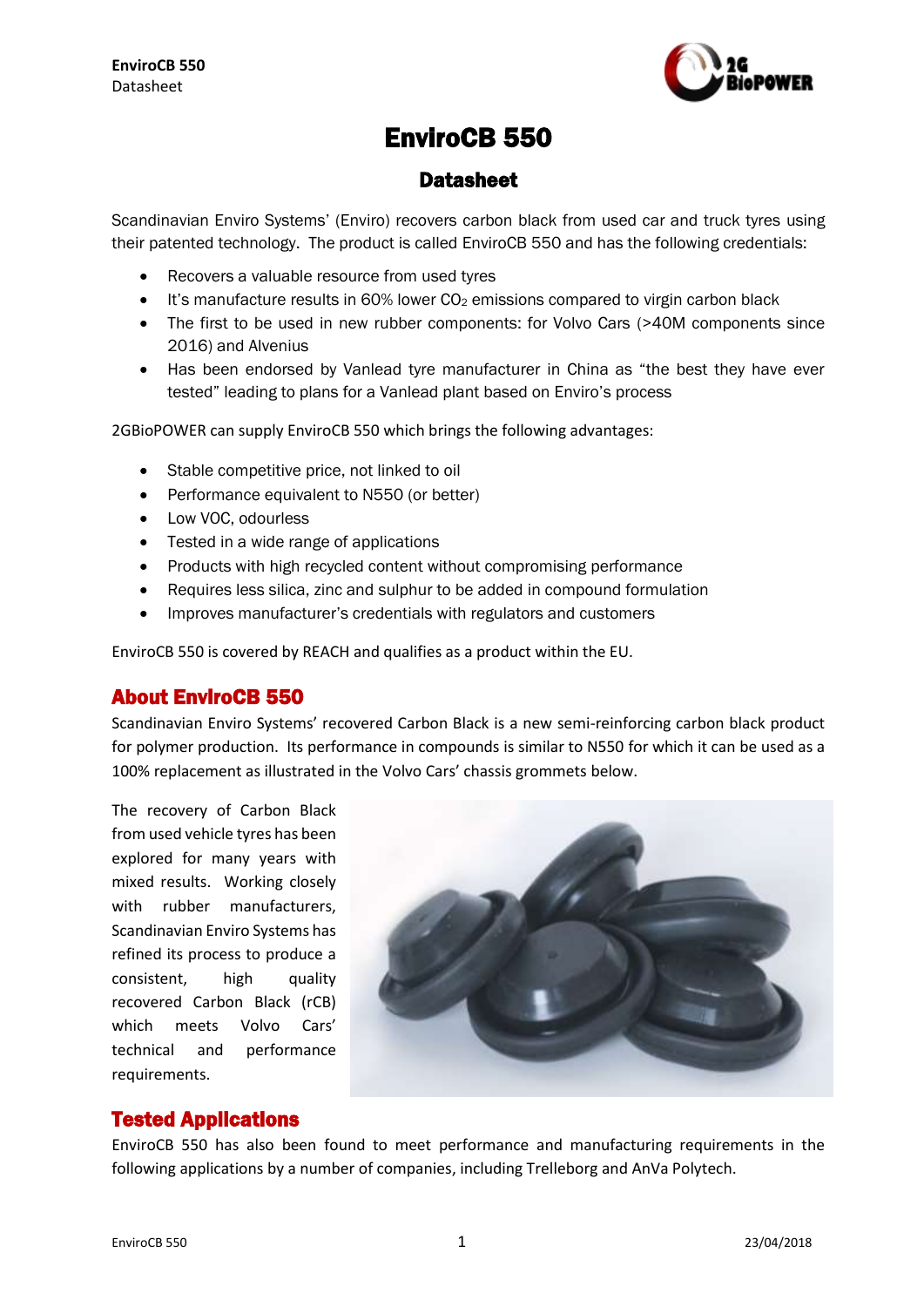

# EnviroCB 550

## **Datasheet**

Scandinavian Enviro Systems' (Enviro) recovers carbon black from used car and truck tyres using their patented technology. The product is called EnviroCB 550 and has the following credentials:

- Recovers a valuable resource from used tyres
- It's manufacture results in  $60\%$  lower  $CO<sub>2</sub>$  emissions compared to virgin carbon black
- The first to be used in new rubber components: for Volvo Cars (>40M components since 2016) and Alvenius
- Has been endorsed by Vanlead tyre manufacturer in China as "the best they have ever tested" leading to plans for a Vanlead plant based on Enviro's process

2GBioPOWER can supply EnviroCB 550 which brings the following advantages:

- Stable competitive price, not linked to oil
- Performance equivalent to N550 (or better)
- Low VOC, odourless
- Tested in a wide range of applications
- Products with high recycled content without compromising performance
- Requires less silica, zinc and sulphur to be added in compound formulation
- Improves manufacturer's credentials with regulators and customers

EnviroCB 550 is covered by REACH and qualifies as a product within the EU.

## About EnviroCB 550

Scandinavian Enviro Systems' recovered Carbon Black is a new semi-reinforcing carbon black product for polymer production. Its performance in compounds is similar to N550 for which it can be used as a 100% replacement as illustrated in the Volvo Cars' chassis grommets below.

The recovery of Carbon Black from used vehicle tyres has been explored for many years with mixed results. Working closely with rubber manufacturers, Scandinavian Enviro Systems has refined its process to produce a consistent. high quality recovered Carbon Black (rCB) which meets Volvo Cars' technical and performance requirements.



## Tested Applications

EnviroCB 550 has also been found to meet performance and manufacturing requirements in the following applications by a number of companies, including Trelleborg and AnVa Polytech.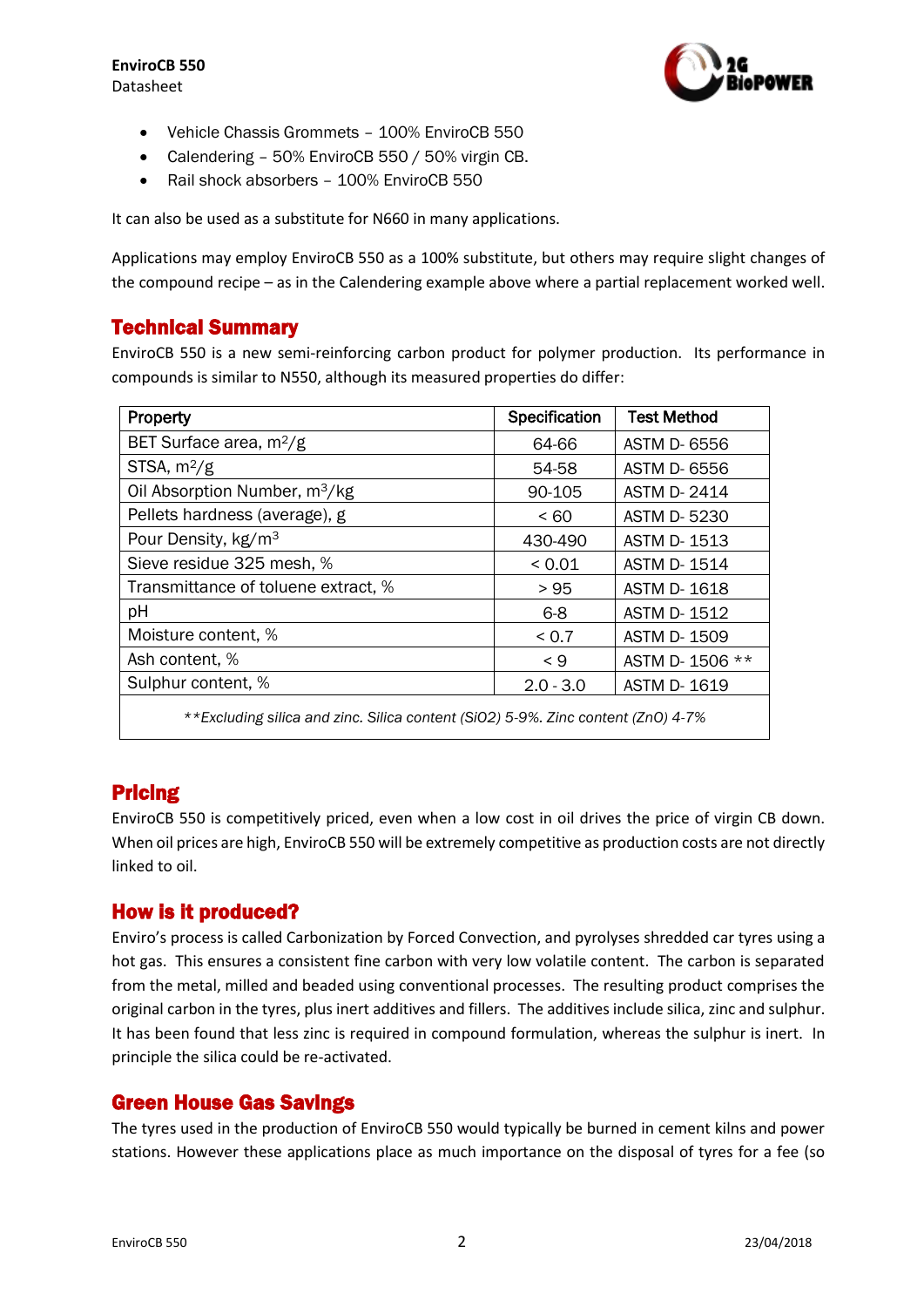

- Vehicle Chassis Grommets 100% EnviroCB 550
- Calendering 50% EnviroCB 550 / 50% virgin CB.
- Rail shock absorbers 100% EnviroCB 550

It can also be used as a substitute for N660 in many applications.

Applications may employ EnviroCB 550 as a 100% substitute, but others may require slight changes of the compound recipe – as in the Calendering example above where a partial replacement worked well.

## Technical Summary

EnviroCB 550 is a new semi-reinforcing carbon product for polymer production. Its performance in compounds is similar to N550, although its measured properties do differ:

| Property                                                                         | Specification | <b>Test Method</b> |
|----------------------------------------------------------------------------------|---------------|--------------------|
| BET Surface area, m <sup>2</sup> /g                                              | 64-66         | <b>ASTM D-6556</b> |
| STSA, $m^2/g$                                                                    | 54-58         | <b>ASTM D-6556</b> |
| Oil Absorption Number, m <sup>3</sup> /kg                                        | 90-105        | <b>ASTM D-2414</b> |
| Pellets hardness (average), g                                                    | < 60          | <b>ASTM D-5230</b> |
| Pour Density, kg/m <sup>3</sup>                                                  | 430-490       | <b>ASTM D-1513</b> |
| Sieve residue 325 mesh, %                                                        | ${}_{0.01}$   | <b>ASTM D-1514</b> |
| Transmittance of toluene extract, %                                              | > 95          | <b>ASTM D-1618</b> |
| pH                                                                               | $6-8$         | <b>ASTM D-1512</b> |
| Moisture content, %                                                              | < 0.7         | <b>ASTM D-1509</b> |
| Ash content, %                                                                   | $\leq 9$      | ASTM D-1506 **     |
| Sulphur content, %                                                               | $2.0 - 3.0$   | <b>ASTM D-1619</b> |
| **Excluding silica and zinc. Silica content (SiO2) 5-9%. Zinc content (ZnO) 4-7% |               |                    |

# Pricing

EnviroCB 550 is competitively priced, even when a low cost in oil drives the price of virgin CB down. When oil prices are high, EnviroCB 550 will be extremely competitive as production costs are not directly linked to oil.

## How is it produced?

Enviro's process is called Carbonization by Forced Convection, and pyrolyses shredded car tyres using a hot gas. This ensures a consistent fine carbon with very low volatile content. The carbon is separated from the metal, milled and beaded using conventional processes. The resulting product comprises the original carbon in the tyres, plus inert additives and fillers. The additives include silica, zinc and sulphur. It has been found that less zinc is required in compound formulation, whereas the sulphur is inert. In principle the silica could be re-activated.

## Green House Gas Savings

The tyres used in the production of EnviroCB 550 would typically be burned in cement kilns and power stations. However these applications place as much importance on the disposal of tyres for a fee (so